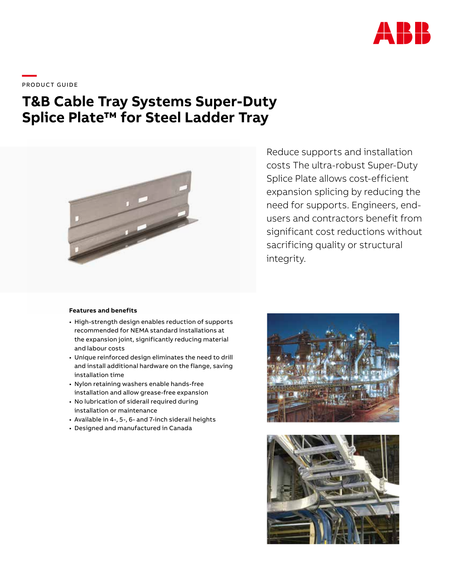

\_\_\_\_<br>PRODUCT GUIDE

# **T&B Cable Tray Systems Super-Duty Splice Plate™ for Steel Ladder Tray**



#### **Features and benefits**

- High-strength design enables reduction of supports recommended for NEMA standard installations at the expansion joint, significantly reducing material and labour costs
- Unique reinforced design eliminates the need to drill and install additional hardware on the flange, saving installation time
- Nylon retaining washers enable hands-free installation and allow grease-free expansion
- No lubrication of siderail required during installation or maintenance
- Available in 4-, 5-, 6- and 7-inch siderail heights
- Designed and manufactured in Canada

Reduce supports and installation costs The ultra-robust Super-Duty Splice Plate allows cost-efficient expansion splicing by reducing the need for supports. Engineers, endusers and contractors benefit from significant cost reductions without sacrificing quality or structural integrity.